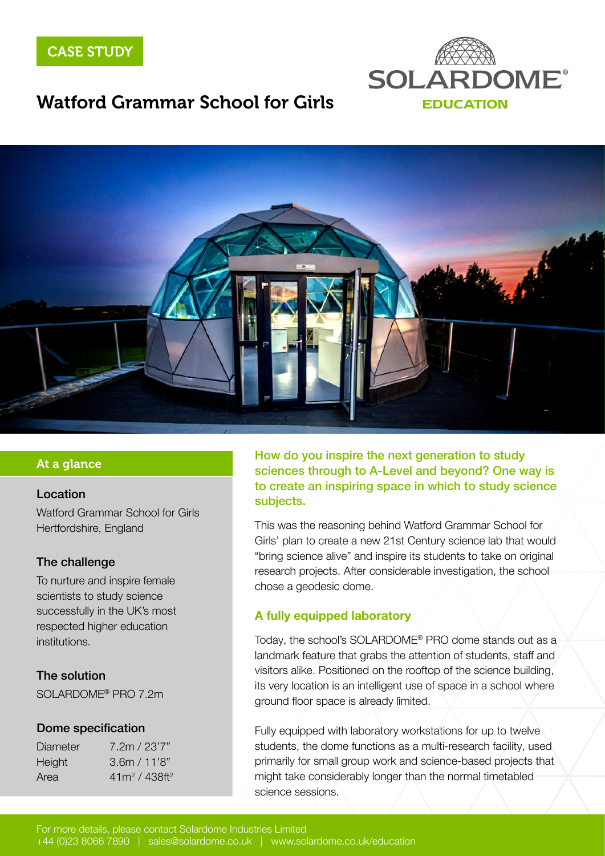



## Watford Grammar School for Girls



### At a glance

### Location

Watford Grammar School for Girls Hertfordshire, England

### The challenge

To nurture and inspire female scientists to study science successfully in the UK's most respected higher education institutions.

### The solution

SOLARDOME® PRO 7.2m

#### Dome specification

| Diameter | 7.2m / 23'7"    |
|----------|-----------------|
| Height   | 3.6m / 11'8"    |
| Area     | $41m^2/438ft^2$ |

How do you inspire the next generation to study sciences through to A-Level and beyond? One way is to create an inspiring space in which to study science subjects.

This was the reasoning behind Watford Grammar School for Girls' plan to create a new 21st Century science lab that would "bring science alive" and inspire its students to take on original research projects. After considerable investigation, the school chose a geodesic dome.

### A fully equipped laboratory

Today, the school's SOLARDOME® PRO dome stands out as a landmark feature that grabs the attention of students, staff and visitors alike. Positioned on the rooftop of the science building, its very location is an intelligent use of space in a school where ground floor space is already limited.

Fully equipped with laboratory workstations for up to twelve students, the dome functions as a multi-research facility, used primarily for small group work and science-based projects that might take considerably longer than the normal timetabled science sessions.